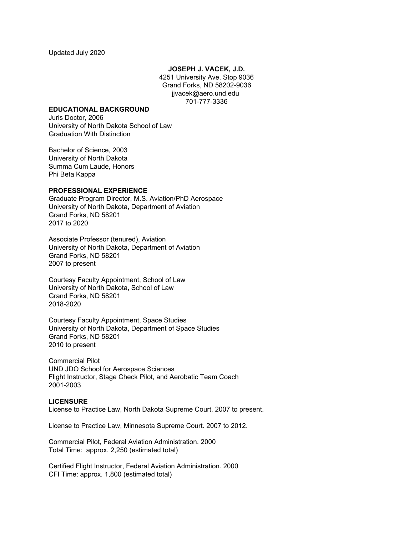**JOSEPH J. VACEK, J.D.**

4251 University Ave. Stop 9036 Grand Forks, ND 58202-9036 jjvacek@aero.und.edu 701-777-3336

#### **EDUCATIONAL BACKGROUND**

Juris Doctor, 2006 University of North Dakota School of Law Graduation With Distinction

Bachelor of Science, 2003 University of North Dakota Summa Cum Laude, Honors Phi Beta Kappa

## **PROFESSIONAL EXPERIENCE**

Graduate Program Director, M.S. Aviation/PhD Aerospace University of North Dakota, Department of Aviation Grand Forks, ND 58201 2017 to 2020

Associate Professor (tenured), Aviation University of North Dakota, Department of Aviation Grand Forks, ND 58201 2007 to present

Courtesy Faculty Appointment, School of Law University of North Dakota, School of Law Grand Forks, ND 58201 2018-2020

Courtesy Faculty Appointment, Space Studies University of North Dakota, Department of Space Studies Grand Forks, ND 58201 2010 to present

Commercial Pilot UND JDO School for Aerospace Sciences Flight Instructor, Stage Check Pilot, and Aerobatic Team Coach 2001-2003

## **LICENSURE**

License to Practice Law, North Dakota Supreme Court. 2007 to present.

License to Practice Law, Minnesota Supreme Court. 2007 to 2012.

Commercial Pilot, Federal Aviation Administration. 2000 Total Time: approx. 2,250 (estimated total)

Certified Flight Instructor, Federal Aviation Administration. 2000 CFI Time: approx. 1,800 (estimated total)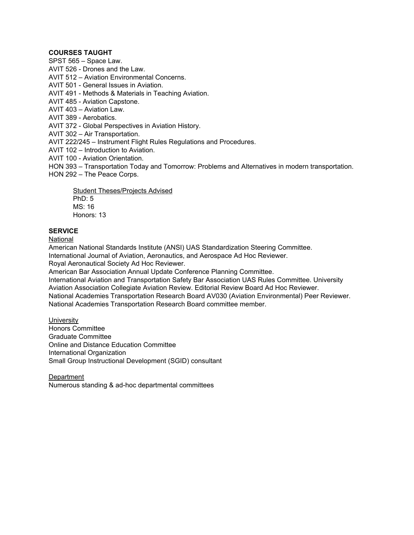# **COURSES TAUGHT**

SPST 565 – Space Law.

AVIT 526 - Drones and the Law.

AVIT 512 – Aviation Environmental Concerns.

AVIT 501 - General Issues in Aviation.

AVIT 491 - Methods & Materials in Teaching Aviation.

AVIT 485 - Aviation Capstone.

AVIT 403 – Aviation Law.

AVIT 389 - Aerobatics.

AVIT 372 - Global Perspectives in Aviation History.

AVIT 302 – Air Transportation.

AVIT 222/245 – Instrument Flight Rules Regulations and Procedures.

AVIT 102 – Introduction to Aviation.

AVIT 100 - Aviation Orientation.

HON 393 – Transportation Today and Tomorrow: Problems and Alternatives in modern transportation.

HON 292 – The Peace Corps.

Student Theses/Projects Advised PhD: 5 MS: 16 Honors: 13

# **SERVICE**

National

American National Standards Institute (ANSI) UAS Standardization Steering Committee. International Journal of Aviation, Aeronautics, and Aerospace Ad Hoc Reviewer. Royal Aeronautical Society Ad Hoc Reviewer.

American Bar Association Annual Update Conference Planning Committee.

International Aviation and Transportation Safety Bar Association UAS Rules Committee. University Aviation Association Collegiate Aviation Review. Editorial Review Board Ad Hoc Reviewer. National Academies Transportation Research Board AV030 (Aviation Environmental) Peer Reviewer. National Academies Transportation Research Board committee member.

**University** Honors Committee Graduate Committee Online and Distance Education Committee International Organization Small Group Instructional Development (SGID) consultant

Department Numerous standing & ad-hoc departmental committees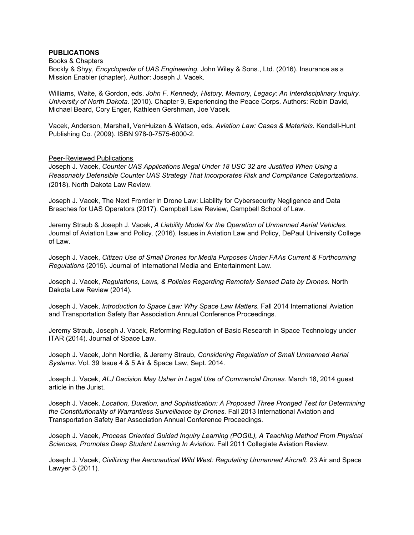# **PUBLICATIONS**

#### Books & Chapters

Bockly & Shyy, *Encyclopedia of UAS Engineering.* John Wiley & Sons., Ltd. (2016). Insurance as a Mission Enabler (chapter). Author: Joseph J. Vacek.

Williams, Waite, & Gordon, eds. *John F. Kennedy, History, Memory, Legacy: An Interdisciplinary Inquiry. University of North Dakota.* (2010). Chapter 9, Experiencing the Peace Corps. Authors: Robin David, Michael Beard, Cory Enger, Kathleen Gershman, Joe Vacek.

Vacek, Anderson, Marshall, VenHuizen & Watson, eds. *Aviation Law: Cases & Materials.* Kendall-Hunt Publishing Co. (2009). ISBN 978-0-7575-6000-2.

### Peer-Reviewed Publications

Joseph J. Vacek, *Counter UAS Applications Illegal Under 18 USC 32 are Justified When Using a Reasonably Defensible Counter UAS Strategy That Incorporates Risk and Compliance Categorizations*. (2018). North Dakota Law Review.

Joseph J. Vacek, The Next Frontier in Drone Law: Liability for Cybersecurity Negligence and Data Breaches for UAS Operators (2017). Campbell Law Review, Campbell School of Law.

Jeremy Straub & Joseph J. Vacek, *A Liability Model for the Operation of Unmanned Aerial Vehicles*. Journal of Aviation Law and Policy. (2016). Issues in Aviation Law and Policy, DePaul University College of Law.

Joseph J. Vacek, *Citizen Use of Small Drones for Media Purposes Under FAAs Current & Forthcoming Regulations* (2015). Journal of International Media and Entertainment Law.

Joseph J. Vacek, *Regulations, Laws, & Policies Regarding Remotely Sensed Data by Drones*. North Dakota Law Review (2014).

Joseph J. Vacek, *Introduction to Space Law: Why Space Law Matters.* Fall 2014 International Aviation and Transportation Safety Bar Association Annual Conference Proceedings.

Jeremy Straub, Joseph J. Vacek, Reforming Regulation of Basic Research in Space Technology under ITAR (2014). Journal of Space Law.

Joseph J. Vacek, John Nordlie, & Jeremy Straub, *Considering Regulation of Small Unmanned Aerial Systems.* Vol. 39 Issue 4 & 5 Air & Space Law, Sept. 2014.

Joseph J. Vacek, *ALJ Decision May Usher in Legal Use of Commercial Drones.* March 18, 2014 guest article in the Jurist.

Joseph J. Vacek, *Location, Duration, and Sophistication: A Proposed Three Pronged Test for Determining the Constitutionality of Warrantless Surveillance by Drones.* Fall 2013 International Aviation and Transportation Safety Bar Association Annual Conference Proceedings.

Joseph J. Vacek, *Process Oriented Guided Inquiry Learning (POGIL), A Teaching Method From Physical Sciences, Promotes Deep Student Learning In Aviation*. Fall 2011 Collegiate Aviation Review.

Joseph J. Vacek, *Civilizing the Aeronautical Wild West: Regulating Unmanned Aircraft*. 23 Air and Space Lawyer 3 (2011).